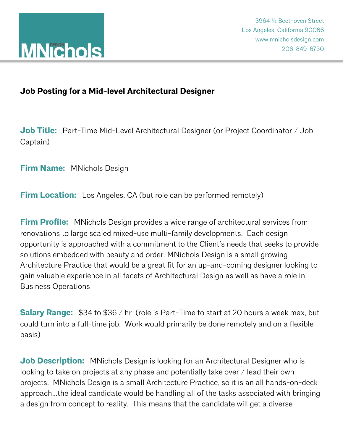## **Job Posting for a Mid-level Architectural Designer**

**Job Title:** Part-Time Mid-Level Architectural Designer (or Project Coordinator / Job Captain)

**Firm Name:** MNichols Design

**Firm Location:** Los Angeles, CA (but role can be performed remotely)

**Firm Profile:** MNichols Design provides a wide range of architectural services from renovations to large scaled mixed-use multi-family developments. Each design opportunity is approached with a commitment to the Client's needs that seeks to provide solutions embedded with beauty and order. MNichols Design is a small growing Architecture Practice that would be a great fit for an up-and-coming designer looking to gain valuable experience in all facets of Architectural Design as well as have a role in Business Operations

**Salary Range:** \$34 to \$36 / hr (role is Part-Time to start at 20 hours a week max, but could turn into a full-time job. Work would primarily be done remotely and on a flexible basis)

**Job Description:** MNichols Design is looking for an Architectural Designer who is looking to take on projects at any phase and potentially take over / lead their own projects. MNichols Design is a small Architecture Practice, so it is an all hands-on-deck approach...the ideal candidate would be handling all of the tasks associated with bringing a design from concept to reality. This means that the candidate will get a diverse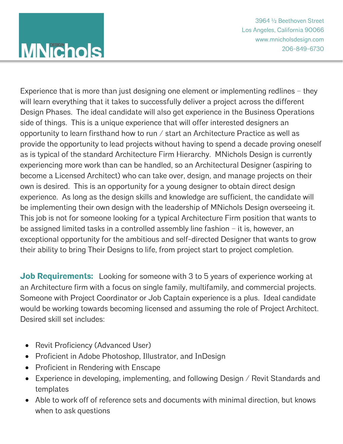## **MNichols**

3964 ½ Beethoven Street 3964 ½ Beethoven Street Los Angeles, California 90066 Los Angeles, California 90066 www.mnicholsdesign.com www.mnicholsdesign.com 206-849-6730 206-849-6730

Experience that is more than just designing one element or implementing redlines – they will learn everything that it takes to successfully deliver a project across the different Design Phases. The ideal candidate will also get experience in the Business Operations side of things. This is a unique experience that will offer interested designers an opportunity to learn firsthand how to run / start an Architecture Practice as well as provide the opportunity to lead projects without having to spend a decade proving oneself as is typical of the standard Architecture Firm Hierarchy. MNichols Design is currently experiencing more work than can be handled, so an Architectural Designer (aspiring to become a Licensed Architect) who can take over, design, and manage projects on their own is desired. This is an opportunity for a young designer to obtain direct design experience. As long as the design skills and knowledge are sufficient, the candidate will be implementing their own design with the leadership of MNichols Design overseeing it. This job is not for someone looking for a typical Architecture Firm position that wants to be assigned limited tasks in a controlled assembly line fashion – it is, however, an exceptional opportunity for the ambitious and self-directed Designer that wants to grow their ability to bring Their Designs to life, from project start to project completion.

**Job Requirements:** Looking for someone with 3 to 5 years of experience working at an Architecture firm with a focus on single family, multifamily, and commercial projects. Someone with Project Coordinator or Job Captain experience is a plus. Ideal candidate would be working towards becoming licensed and assuming the role of Project Architect. Desired skill set includes:

- Revit Proficiency (Advanced User)
- Proficient in Adobe Photoshop, Illustrator, and InDesign
- Proficient in Rendering with Enscape
- Experience in developing, implementing, and following Design / Revit Standards and templates
- Able to work off of reference sets and documents with minimal direction, but knows when to ask questions